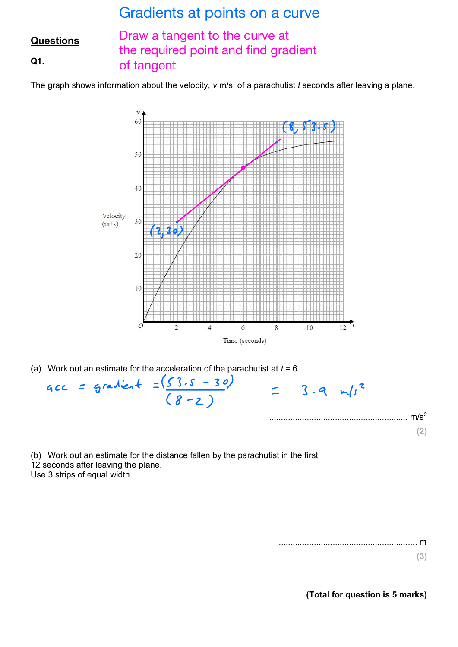## Gradients at points on a curve

## **Questions Q1.** Draw a tangent to the curve at the required point and find gradient of tangent

The graph shows information about the velocity, *v* m/s, of a parachutist *t* seconds after leaving a plane.



(b) Work out an estimate for the distance fallen by the parachutist in the first 12 seconds after leaving the plane. Use 3 strips of equal width.

> ........................................................... m **(3)**

> > **(Total for question is 5 marks)**